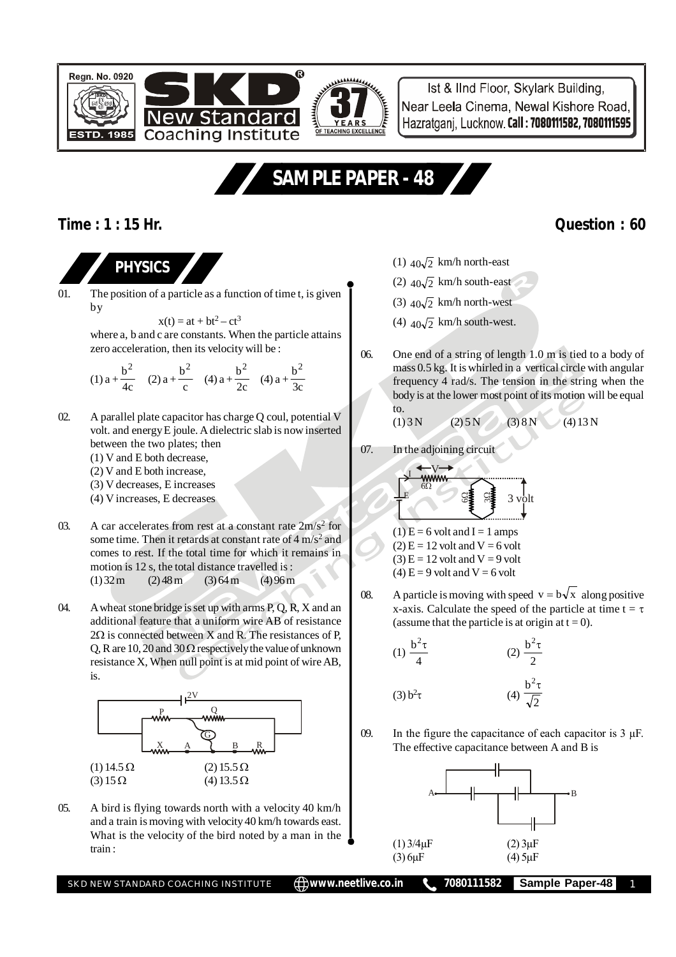



Ist & IInd Floor, Skylark Building, Near Leela Cinema, Newal Kishore Road, Hazratganj, Lucknow. Call: 7080111582, 7080111595

# **SAMPLE PAPER - 48**

### **Time : 1 : 15 Hr. Question : 60**



01. The position of a particle as a function of time t, is given by

$$
x(t) = at + bt^2 - ct^3
$$

where a, b and c are constants. When the particle attains zero acceleration, then its velocity will be :

(1) 
$$
a + \frac{b^2}{4c}
$$
 (2)  $a + \frac{b^2}{c}$  (4)  $a + \frac{b^2}{2c}$  (4)  $a + \frac{b^2}{3c}$ 

- 02. A parallel plate capacitor has charge Q coul, potential V volt. and energy E joule. A dielectric slab is now inserted between the two plates; then
	- (1) V and E both decrease,
	- (2) V and E both increase,
	- (3) V decreases, E increases
	- (4) V increases, E decreases
- 03. A car accelerates from rest at a constant rate  $2m/s^2$  for some time. Then it retards at constant rate of 4 m/s<sup>2</sup> and comes to rest. If the total time for which it remains in motion is 12 s, the total distance travelled is :  $(1)$  32 m  $(2)$  48 m  $(3)$  64 m  $(4)$  96 m
- 04. A wheat stone bridge is set up with arms P, Q, R, X and an additional feature that a uniform wire AB of resistance  $2\Omega$  is connected between X and R. The resistances of P. Q, R are 10, 20 and 30  $\Omega$  respectively the value of unknown resistance X, When null point is at mid point of wire AB, is.



05. A bird is flying towards north with a velocity 40 km/h and a train is moving with velocity 40 km/h towards east. What is the velocity of the bird noted by a man in the train :

- (1)  $40\sqrt{2}$  km/h north-east
- (2)  $40\sqrt{2}$  km/h south-east
- (3)  $40\sqrt{2}$  km/h north-west
- (4)  $40\sqrt{2}$  km/h south-west.
- 06. One end of a string of length 1.0 m is tied to a body of mass 0.5 kg. It is whirled in a vertical circle with angular frequency 4 rad/s. The tension in the string when the body is at the lower most point of its motion will be equal to.

$$
(1) 3N \t(2) 5N \t(3) 8N \t(4) 13N
$$

07. In the adjoining circuit

V I 6 E 6 3 volt 3

- $(1) E = 6$  volt and I = 1 amps  $(2)$  E = 12 volt and V = 6 volt
- $(3)$  E = 12 volt and V = 9 volt

$$
(4) E = 9
$$
 volt and V = 6 volt

08. A particle is moving with speed  $v = b\sqrt{x}$  along positive x-axis. Calculate the speed of the particle at time  $t = \tau$ (assume that the particle is at origin at  $t = 0$ ).

(1) 
$$
\frac{b^2 \tau}{4}
$$
  
\n(2)  $\frac{b^2 \tau}{2}$   
\n(3)  $b^2 \tau$   
\n(4)  $\frac{b^2 \tau}{\sqrt{2}}$ 

09. In the figure the capacitance of each capacitor is  $3 \mu$ F. The effective capacitance between A and B is



SKD NEW STANDARD COACHING INSTITUTE **<b>in the AD www.neetlive.co.in the 7080111582** Sample Paper-48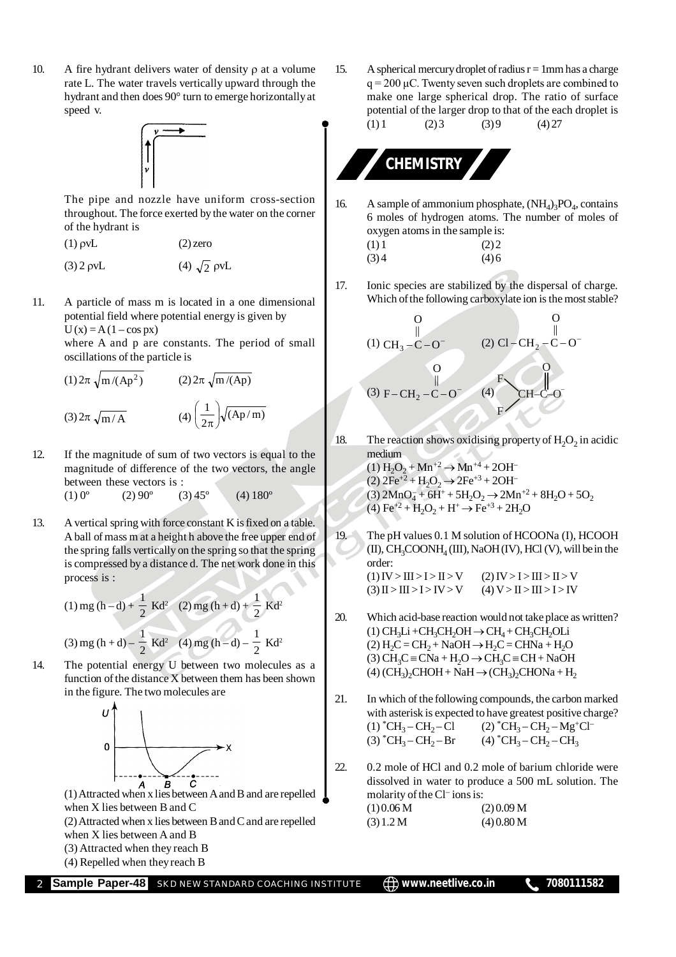10. A fire hydrant delivers water of density  $\rho$  at a volume rate L. The water travels vertically upward through the hydrant and then does 90° turn to emerge horizontally at speed v.



The pipe and nozzle have uniform cross-section throughout. The force exerted by the water on the corner of the hydrant is

(3) 2 pvL (4)  $\sqrt{2}$  pvL

11. A particle of mass m is located in a one dimensional potential field where potential energy is given by  $U(x) = A(1 - \cos px)$ 

where A and p are constants. The period of small oscillations of the particle is

(1) 
$$
2\pi \sqrt{m/(Ap^2)}
$$
 (2)  $2\pi \sqrt{m/(Ap)}$   
(3)  $2\pi \sqrt{m/A}$  (4)  $\left(\frac{1}{2\pi}\right)\sqrt{(Ap/m)}$ 

12. If the magnitude of sum of two vectors is equal to the magnitude of difference of the two vectors, the angle between these vectors is :<br>(1)  $0^{\circ}$  (2)  $90^{\circ}$  (3)

 $(1) 0^{\circ}$   $(2) 90^{\circ}$   $(3) 45^{\circ}$   $(4) 180^{\circ}$ 

13. A vertical spring with force constant K is fixed on a table. A ball of mass m at a height h above the free upper end of the spring falls vertically on the spring so that the spring is compressed by a distance d. The net work done in this process is :

(1) mg (h-d) + 
$$
\frac{1}{2}
$$
 Kd<sup>2</sup> (2) mg (h+d) +  $\frac{1}{2}$  Kd<sup>2</sup>  
(3) mg (h+d) -  $\frac{1}{2}$  Kd<sup>2</sup> (4) mg (h-d) -  $\frac{1}{2}$  Kd<sup>2</sup>

14. The potential energy U between two molecules as a function of the distance X between them has been shown in the figure. The two molecules are



(1) Attracted when x lies between A and B and are repelled when X lies between B and C

(2) Attracted when x lies between B and C and are repelled when X lies between A and B

(3) Attracted when they reach B

(4) Repelled when they reach B

15. A spherical mercury droplet of radius  $r = 1$ mm has a charge  $q = 200 \mu C$ . Twenty seven such droplets are combined to make one large spherical drop. The ratio of surface potential of the larger drop to that of the each droplet is  $(1) 1$   $(2) 3$   $(3) 9$   $(4) 27$ 

## **CHEMISTRY**

16. A sample of ammonium phosphate,  $(NH_4)_3PO_4$ , contains 6 moles of hydrogen atoms. The number of moles of oxygen atoms in the sample is:

| (1)1 | (2) 2 |
|------|-------|
| (3)4 | (4)6  |

17. Ionic species are stabilized by the dispersal of charge. Which of the following carboxylate ion is the most stable?

$$
\begin{array}{ccc}\n & 0 & 0 \\
 & \parallel & \\
(1) \text{ CH}_3 - \text{C} - \text{O}^- & (2) \text{ Cl} - \text{CH}_2 - \text{C} - \text{O}^- \\
 & 0 & \text{F} \\
 & \parallel & \text{F} \\
\text{(3) F} - \text{CH}_2 - \text{C} - \text{O}^- & (4) & \text{CH} - \text{CO} \\
 & & \text{F}\n\end{array}
$$

18. The reaction shows oxidising property of  $H_2O_2$  in acidic medium  $(1) H<sub>2</sub>O<sub>2</sub> + Mn<sup>+2</sup> \rightarrow Mn<sup>+4</sup> + 2OH<sup>-</sup>$  $(2)$   $2Fe^{+2} + H_2O_2 \rightarrow 2Fe^{+3} + 2OH^-$ 

(3)  $2MnO_4^- + 6H^+ + 5H_2O_2 \rightarrow 2Mn^{+2} + 8H_2O + 5O_2$  $(4) \text{Fe}^{+2} + \text{H}_2\text{O}_2 + \text{H}^+ \rightarrow \text{Fe}^{+3} + 2\text{H}_2\text{O}$ 

19. The pH values 0.1 M solution of HCOONa (I), HCOOH  $(II)$ , CH<sub>3</sub>COONH<sub>4</sub> (III), NaOH (IV), HCl (V), will be in the order:

$$
(1) IV > III > I > II > V
$$
  
(2) IV > I > III > II > I > V  
(3) II > III > I > IV > V  
(4) V > II > II > III > I > IV

- 20. Which acid-base reaction would not take place as written?  $(1)$  CH<sub>3</sub>Li +CH<sub>3</sub>CH<sub>2</sub>OH  $\rightarrow$  CH<sub>4</sub> + CH<sub>3</sub>CH<sub>2</sub>OLi  $(2) H<sub>2</sub>C = CH<sub>2</sub> + NaOH \rightarrow H<sub>2</sub>C = CHNa + H<sub>2</sub>O$ (3)  $CH_3C = CNa + H_2O \rightarrow CH_3C = CH + NaOH$ (4)  $(CH_3)_2CHOH + NaH \rightarrow (CH_3)_2CHONa + H_2$
- 21. In which of the following compounds, the carbon marked with asterisk is expected to have greatest positive charge?  $(1)$   $^*CH_3-CH_2$  $-Cl$  (2)  $^{\ast}CH_{3}-CH_{2}-Mg^{+}Cl^{-}$  $(3)$  \*CH<sub>3</sub> – CH<sub>2</sub>  $-Br$  (4)  $^{\ast}CH_{3}-CH_{2}-CH_{3}$
- 22. 0.2 mole of HCl and 0.2 mole of barium chloride were dissolved in water to produce a 500 mL solution. The molarity of the Cl<sup>-</sup> ions is:  $(1) 0.06 M$  (2) 0.09 M  $(3) 1.2 M$   $(4) 0.80 M$

**Sample Paper-48** SKD NEW STANDARD COACHING INSTITUTE  $\Box$  www.neetlive.co.in 7080111582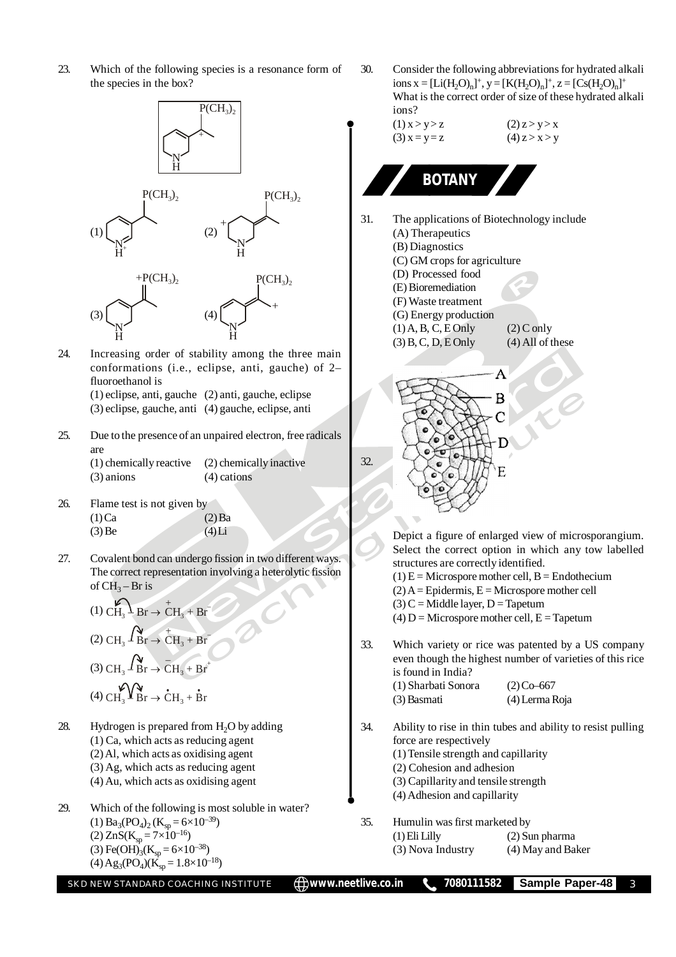23. Which of the following species is a resonance form of the species in the box?



24. Increasing order of stability among the three main conformations (i.e., eclipse, anti, gauche) of 2– fluoroethanol is (1) eclipse, anti, gauche (2) anti, gauche, eclipse (3) eclipse, gauche, anti (4) gauche, eclipse, anti

25. Due to the presence of an unpaired electron, free radicals are

> (1) chemically reactive (2) chemically inactive (3) anions (4) cations

- 26. Flame test is not given by  $(1)$ Ca  $(2)$  Ba  $(3)$  Be (4) Li
- 27. Covalent bond can undergo fission in two different ways. The correct representation involving a heterolytic fission of  $CH_3 - Br$  is

(1) 
$$
\overbrace{CH_3}^{(1)} \overbrace{Br} \rightarrow \overbrace{CH_3}^{+} + \overbrace{Br}^{+}
$$
  
(2) 
$$
\overbrace{CH_3}^{(2)} \overbrace{Br} \rightarrow \overbrace{CH_3}^{+} + \overbrace{Br}^{+}
$$
  
(3) 
$$
\overbrace{CH_3}^{(3)} \overbrace{Br} \rightarrow \overbrace{CH_3}^{+} + \overbrace{Br}^{+}
$$
  
(4) 
$$
\overbrace{CH_3}^{(4)} \overbrace{Br} \rightarrow \overbrace{CH_3}^{+} + \overbrace{Br}^{+}
$$

- 28. Hydrogen is prepared from  $H_2O$  by adding (1) Ca, which acts as reducing agent (2) Al, which acts as oxidising agent (3) Ag, which acts as reducing agent (4) Au, which acts as oxidising agent
- 29. Which of the following is most soluble in water? (1)  $Ba_3(PO_4)_2(K_{sp} = 6 \times 10^{-39})$ (2)  $\text{ZnS}(K_{sp} = 7 \times 10^{-16})$ (3) Fe(OH)<sub>3</sub>(K<sub>sp</sub> = 6×10<sup>-38</sup>)  $(4)$  Ag<sub>3</sub>(PO<sub>4</sub>)( $\dot{K}_{sp}$  = 1.8×10<sup>-18</sup>)

30. Consider the following abbreviations for hydrated alkali ions  $x = [Li(H_2O)_n]^+, y = [K(H_2O)_n]^+, z = [Cs(H_2O)_n]^+$ What is the correct order of size of these hydrated alkali ions?

$$
(1) x > y > z
$$
  
\n
$$
(2) z > y > x
$$
  
\n
$$
(3) x = y = z
$$
  
\n
$$
(4) z > x > y
$$

**BOTANY**

- 31. The applications of Biotechnology include (A) Therapeutics
	- (B) Diagnostics
	- (C) GM crops for agriculture (D) Processed food
	- (E) Bioremediation
	- (F) Waste treatment
	- (G) Energy production
		-
	- (1) A, B, C, E Only<br>(3) B, C, D, E Only<br>(4) All of these  $(3)$  B, C, D, E Only



Depict a figure of enlarged view of microsporangium. Select the correct option in which any tow labelled structures are correctly identified.

- $(1) E =$ Microspore mother cell, B = Endothecium
- $(2)$  A = Epidermis, E = Microspore mother cell
- $(3)$  C = Middle layer, D = Tapetum
- $(4) D =$ Microspore mother cell,  $E =$ Tapetum
- 33. Which variety or rice was patented by a US company even though the highest number of varieties of this rice is found in India?

| (1) Sharbati Sonora | $(2)$ Co-667   |
|---------------------|----------------|
| (3) Basmati         | (4) Lerma Roja |

- 34. Ability to rise in thin tubes and ability to resist pulling force are respectively
	- (1) Tensile strength and capillarity
	- (2) Cohesion and adhesion
	- (3) Capillarity and tensile strength
	- (4) Adhesion and capillarity
- 35. Humulin was first marketed by
	- (1) Eli Lilly (2) Sun pharma (3) Nova Industry (4) May and Baker
		-

SKD NEW STANDARD COACHING INSTITUTE **(D) WWW.neetlive.co.in \, 7080111582 Sample Paper-48** 3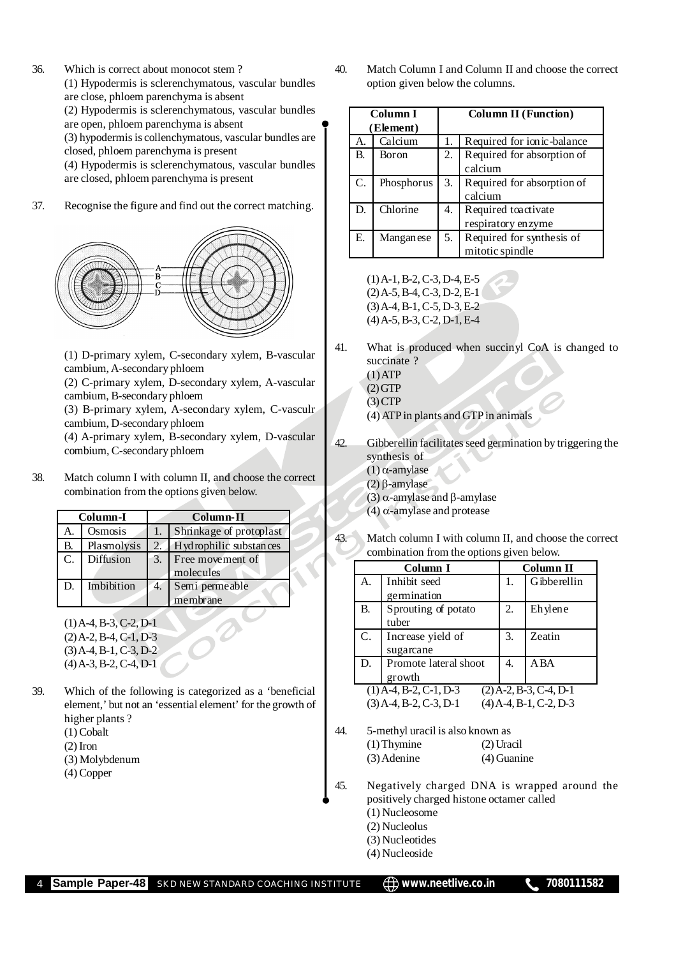36. Which is correct about monocot stem ? (1) Hypodermis is sclerenchymatous, vascular bundles

are close, phloem parenchyma is absent

(2) Hypodermis is sclerenchymatous, vascular bundles

are open, phloem parenchyma is absent

(3) hypodermis is collenchymatous, vascular bundles are closed, phloem parenchyma is present

(4) Hypodermis is sclerenchymatous, vascular bundles are closed, phloem parenchyma is present

37. Recognise the figure and find out the correct matching.



(1) D-primary xylem, C-secondary xylem, B-vascular cambium, A-secondary phloem

(2) C-primary xylem, D-secondary xylem, A-vascular cambium, B-secondary phloem

(3) B-primary xylem, A-secondary xylem, C-vasculr cambium, D-secondary phloem

(4) A-primary xylem, B-secondary xylem, D-vascular combium, C-secondary phloem

38. Match column I with column II, and choose the correct combination from the options given below.

|                | Column-I    | Column-II |                         |  |
|----------------|-------------|-----------|-------------------------|--|
|                | Osmosis     |           | Shrinkage of protoplast |  |
| В.             | Plasmolysis | 2.        | Hydrophilic substances  |  |
| $\mathbf{C}$ . | Diffusion   | 3.        | Free movement of        |  |
|                |             |           | molecules               |  |
| D.             | Imbibition  | 4.        | Semi permeable          |  |
|                |             |           | membrane                |  |

 $(1)$  A-4, B-3, C-2, D-1  $(2)$  A-2, B-4, C-1, D-3 (3) A-4, B-1, C-3, D-2  $(4)$  A-3, B-2, C-4, D-1

39. Which of the following is categorized as a 'beneficial element,' but not an 'essential element' for the growth of higher plants ? (1) Cobalt

(2) Iron

- (3) Molybdenum
- (4) Copper

40. Match Column I and Column II and choose the correct option given below the columns.

|    | Column I   | <b>Column II (Function)</b> |                            |  |
|----|------------|-----------------------------|----------------------------|--|
|    | (Element)  |                             |                            |  |
| А. | Calcium    |                             | Required for ionic-balance |  |
| B. | Boron      | 2.                          | Required for absorption of |  |
|    |            |                             | calcium                    |  |
| C. | Phosphorus | 3.                          | Required for absorption of |  |
|    |            |                             | calcium                    |  |
| D. | Chlorine   | 4.                          | Required toactivate        |  |
|    |            |                             | respiratory enzyme         |  |
| E. | Manganese  | 5.                          | Required for synthesis of  |  |
|    |            |                             | mitotic spindle            |  |

(1) A-1, B-2, C-3, D-4, E-5  $(2)$  A-5, B-4, C-3, D-2, E-1 (3) A-4, B-1, C-5, D-3, E-2 (4) A-5, B-3, C-2, D-1, E-4

41. What is produced when succinyl CoA is changed to succinate ?

 $(1)$  ATP  $(2) GTP$  $(3)$  CTP (4) ATP in plants and GTP in animals

- 42. Gibberellin facilitates seed germination by triggering the synthesis of  $(1)$   $\alpha$ -amylase
	- $(2)$   $\beta$ -amylase
	- (3)  $\alpha$ -amylase and  $\beta$ -amylase
	- (4)  $\alpha$ -amylase and protease
- 43. Match column I with column II, and choose the correct combination from the options given below.

| Column I                                             |                       | Column II |             |
|------------------------------------------------------|-----------------------|-----------|-------------|
| A.                                                   | Inhibit seed          | 1.        | Gibberellin |
|                                                      | germination           |           |             |
| B.                                                   | Sprouting of potato   |           | Ehylene     |
|                                                      | tuber                 |           |             |
| C.                                                   | Increase yield of     |           | Zeatin      |
|                                                      | sugarcane             |           |             |
| D.                                                   | Promote lateral shoot |           | A BA        |
|                                                      | growth                |           |             |
| $(1)$ A-4, B-2, C-1, D-3<br>$(2)$ A-2, B-3, C-4, D-1 |                       |           |             |
| $(3)$ A-4, B-2, C-3, D-1<br>$(4)$ A-4, B-1, C-2, D-3 |                       |           |             |

- 44. 5-methyl uracil is also known as (1) Thymine (2) Uracil (3) Adenine (4) Guanine
- 45. Negatively charged DNA is wrapped around the positively charged histone octamer called
	- (1) Nucleosome
	- (2) Nucleolus
	- (3) Nucleotides
	- (4) Nucleoside